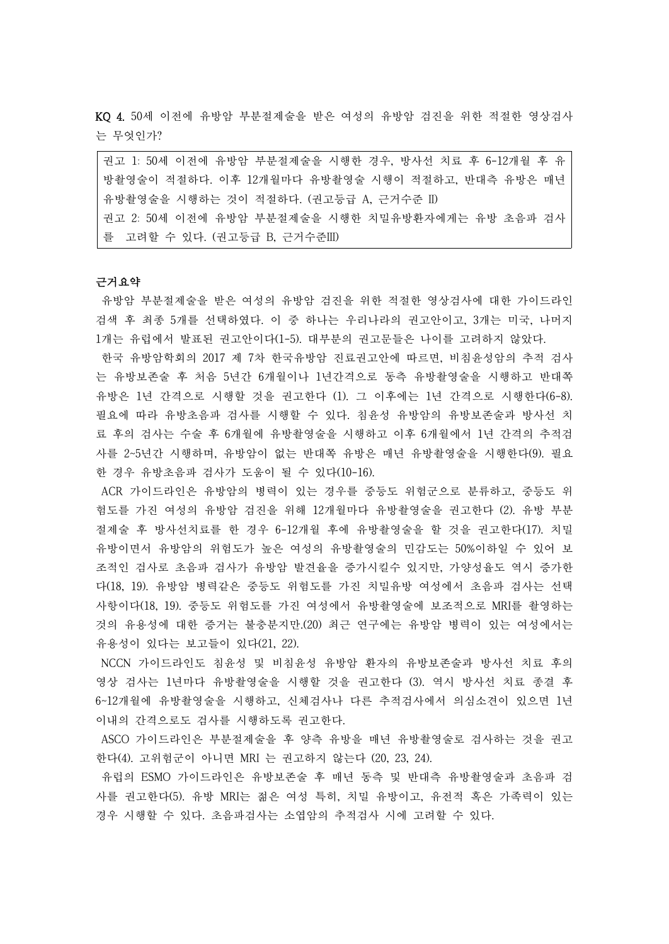KQ 4. 50세 이전에 유방암 부분절제술을 받은 여성의 유방암 검진을 위한 적절한 영상검사 는 무엇인가?

| 권고 1: 50세 이전에 유방암 부분절제술을 시행한 경우, 방사선 치료 후 6-12개월 후 유 |
|------------------------------------------------------|
| 방촬영술이 적절하다. 이후 12개월마다 유방촬영술 시행이 적절하고, 반대측 유방은 매년     |
| 유방촬영술을 시행하는 것이 적절하다. (권고등급 A, 근거수준 II)               |
| 권고 2: 50세 이전에 유방암 부분절제술을 시행한 치밀유방환자에게는 유방 초음파 검사     |
| 를 고려할 수 있다. (권고등급 B, 근거수준III)                        |

#### 근거요약

유방암 부분절제술을 받은 여성의 유방암 검진을 위한 적절한 영상검사에 대한 가이드라인 검색 후 최종 5개를 선택하였다. 이 중 하나는 우리나라의 권고안이고, 3개는 미국, 나머지 1개는 유럽에서 발표된 권고안이다(1-5). 대부분의 권고문들은 나이를 고려하지 않았다.

한국 유방암학회의 2017 제 7차 한국유방암 진료권고안에 따르면, 비침윤성암의 추적 검사 는 유방보존술 후 처음 5년간 6개월이나 1년간격으로 동측 유방촬영술을 시행하고 반대쪽 유방은 1년 간격으로 시행할 것을 권고한다 (1). 그 이후에는 1년 간격으로 시행한다(6-8). 필요에 따라 유방초음파 검사를 시행할 수 있다. 침윤성 유방암의 유방보존술과 방사선 치 료 후의 검사는 수술 후 6개월에 유방촬영술을 시행하고 이후 6개월에서 1년 간격의 추적검 사를 2~5년간 시행하며, 유방암이 없는 반대쪽 유방은 매년 유방촬영술을 시행한다(9). 필요 한 경우 유방초음파 검사가 도움이 될 수 있다(10-16).

ACR 가이드라인은 유방암의 병력이 있는 경우를 중등도 위험군으로 분류하고, 중등도 위 험도를 가진 여성의 유방암 검진을 위해 12개월마다 유방촬영술을 권고한다 (2). 유방 부분 절제술 후 방사선치료를 한 경우 6-12개월 후에 유방촬영술을 할 것을 권고한다(17). 치밀 유방이면서 유방암의 위험도가 높은 여성의 유방촬영술의 민감도는 50%이하일 수 있어 보 조적인 검사로 초음파 검사가 유방암 발견율을 증가시킬수 있지만, 가양성율도 역시 증가한 다(18, 19). 유방암 병력같은 중등도 위험도를 가진 치밀유방 여성에서 초음파 검사는 선택 사항이다(18, 19). 중등도 위험도를 가진 여성에서 유방촬영술에 보조적으로 MRI를 촬영하는 것의 유용성에 대한 증거는 불충분지만.(20) 최근 연구에는 유방암 병력이 있는 여성에서는 유용성이 있다는 보고들이 있다(21, 22).

NCCN 가이드라인도 침윤성 및 비침윤성 유방암 환자의 유방보존술과 방사선 치료 후의 영상 검사는 1년마다 유방촬영술을 시행할 것을 권고한다 (3). 역시 방사선 치료 종결 후 6~12개월에 유방촬영술을 시행하고, 신체검사나 다른 추적검사에서 의심소견이 있으면 1년 이내의 간격으로도 검사를 시행하도록 권고한다.<br>ASCO 가이드라인은 부분절제술을 후 양측 유방을 매년 유방촬영술로 검사하는 것을 권고

한다(4). 고위험군이 아니면 MRI 는 권고하지 않는다 (20, 23, 24).

유럽의 ESMO 가이드라인은 유방보존술 후 매년 동측 및 반대측 유방촬영술과 초음파 검 사를 권고한다(5). 유방 MRI는 젊은 여성 특히, 치밀 유방이고, 유전적 혹은 가족력이 있는 경우 시행할 수 있다. 초음파검사는 소엽암의 추적검사 시에 고려할 수 있다.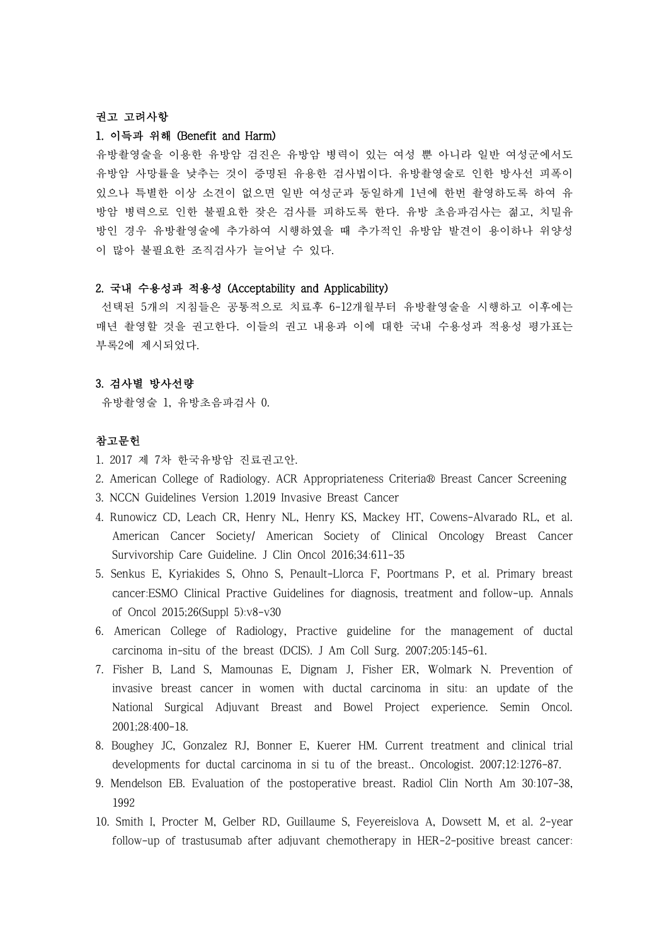## 권고 고려사항

#### 1. 이득과 위해 (Benefit and Harm)

유방촬영술을 이용한 유방암 검진은 유방암 병력이 있는 여성 뿐 아니라 일반 여성군에서도 유방암 사망률을 낮추는 것이 증명된 유용한 검사법이다. 유방촬영술로 인한 방사선 피폭이 있으나 특별한 이상 소견이 없으면 일반 여성군과 동일하게 1년에 한번 촬영하도록 하여 유 방암 병력으로 인한 불필요한 잦은 검사를 피하도록 한다. 유방 초음파검사는 젊고, 치밀유 방인 경우 유방촬영술에 추가하여 시행하였을 때 추가적인 유방암 발견이 용이하나 위양성 이 많아 불필요한 조직검사가 늘어날 수 있다.

# 2. 국내 수용성과 적용성 (Acceptability and Applicability)

선택된 5개의 지침들은 공통적으로 치료후 6-12개월부터 유방촬영술을 시행하고 이후에는 매년 촬영할 것을 권고한다. 이들의 권고 내용과 이에 대한 국내 수용성과 적용성 평가표는 부록2에 제시되었다.

### 3. 검사별 방사선량

유방촬영술 1, 유방초음파검사 0.

# 참고문헌

- 1. 2017 제 7차 한국유방암 진료권고안.
- 2. American College of Radiology. ACR Appropriateness Criteria® Breast Cancer Screening
- 3. NCCN Guidelines Version 1.2019 Invasive Breast Cancer
- 4. Runowicz CD, Leach CR, Henry NL, Henry KS, Mackey HT, Cowens-Alvarado RL, et al. American Cancer Society/ American Society of Clinical Oncology Breast Cancer Survivorship Care Guideline. J Clin Oncol 2016;34:611-35
- 5. Senkus E, Kyriakides S, Ohno S, Penault-Llorca F, Poortmans P, et al. Primary breast cancer:ESMO Clinical Practive Guidelines for diagnosis, treatment and follow-up. Annals of Oncol 2015;26(Suppl 5):v8-v30
- 6. American College of Radiology, Practive guideline for the management of ductal carcinoma in-situ of the breast (DCIS). J Am Coll Surg. 2007;205:145-61.
- 7. Fisher B, Land S, Mamounas E, Dignam J, Fisher ER, Wolmark N. Prevention of invasive breast cancer in women with ductal carcinoma in situ: an update of the National Surgical Adjuvant Breast and Bowel Project experience. Semin Oncol. 2001;28:400-18.
- 8. Boughey JC, Gonzalez RJ, Bonner E, Kuerer HM. Current treatment and clinical trial developments for ductal carcinoma in si tu of the breast.. Oncologist. 2007;12:1276-87.
- 9. Mendelson EB. Evaluation of the postoperative breast. Radiol Clin North Am 30:107-38, 1992
- 10. Smith I, Procter M, Gelber RD, Guillaume S, Feyereislova A, Dowsett M, et al. 2-year follow-up of trastusumab after adjuvant chemotherapy in HER-2-positive breast cancer: